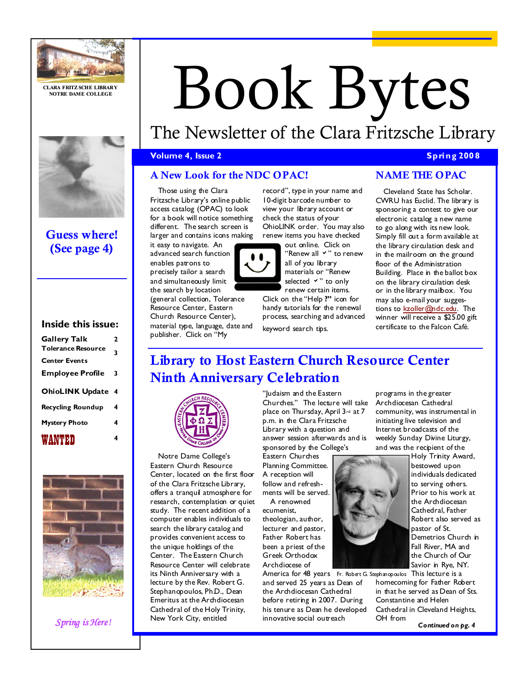

CLARA FRITZ SCHE LIBRARY NOTRE DAME COLLEGE



# Guess where! (See page 4)

## Inside this issue:

| <b>Gallery Talk</b>       | 2                       |
|---------------------------|-------------------------|
| <b>Tolerance Resource</b> | 3                       |
| <b>Center Events</b>      |                         |
| <b>Employee Profile</b>   | 3                       |
| <b>OhioLINK Update</b>    | $\overline{\mathbf{4}}$ |
| <b>Recycling Roundup</b>  | 4                       |
| <b>Mystery Photo</b>      | 4                       |
| WANTED                    | 4                       |



Spring is Here!

# Book Bytes

# The Newsletter of the Clara Fritzsche Library

## **Volume 4, Issue 2** Spring 2008

# A New Look for the NDC OPAC!

Those using the Clara Fritzsche Library's online public access catalog (OPAC) to look for a book will notice something different. The search screen is larger and contains icons making

it easy to navigate. An advanced search function enables patrons to precisely tailor a search and simultaneously limit the search by location

(general collection, Tolerance Resource Center, Eastern Church Resource Center), material type, language, date and publisher. Click on "My

record", type in your name and 10-digit barcode number to view your library account or check the status of your OhioLINK order. You may also renew items you have checked

out online. Click on "Renew all  $\vee$ " to renew

all of you library materials or "Renew selected  $\vee$ " to only renew certain items.

Click on the "Help ?" icon for handy tutorials for the renewal process, searching and advanced keyword search tips.

# NAME THE OPAC

Cleveland State has Scholar. CWRU has Euclid. The library is sponsoring a contest to give our electronic catalog a new name to go along with its new look. Simply fill out a form available at the library circulation desk and in the mailroom on the ground floor of the Administration Building. Place in the ballot box on the library circulation desk or in the library mailbox. You may also e-mail your suggestions to kzoller@ndc.edu. The winner will receive a \$25.00 gift certificate to the Falcon Café.

# Library to Host Eastern Church Resource Center Ninth Anniversary Celebration



Notre Dame College's Eastern Church Resource Center, located on the first floor of the Clara Fritzsche Library, offers a tranquil atmosphere for research, contemplation or quiet study. The recent addition of a computer enables individuals to search the library catalog and provides convenient access to the unique holdings of the Center. The Eastern Church Resource Center will celebrate its Ninth Anniversary with a lecture by the Rev. Robert G. Stephanopoulos, Ph.D., Dean Emeritus at the Archdiocesan Cathedral of the Holy Trinity, New York City, entitled

"Judaism and the Eastern Churches." The lecture will take place on Thursday, April 3rd at 7 p.m. in the Clara Fritzsche Library with a question and answer session afterwards and is sponsored by the College's

Eastern Churches Planning Committee. A reception will follow and refreshments will be served. A renowned

ecumenist, theologian, author, lecturer and pastor, Father Robert has been a priest of the Greek Orthodox Archdiocese of

America for 48 years Fr. Robert G. Stephanopoulos This lecture is a and served 25 years as Dean of the Archdiocesan Cathedral before retiring in 2007. During his tenure as Dean he developed innovative social outreach

programs in the greater Archdiocesan Cathedral community, was instrumental in initiating live television and Internet broadcasts of the weekly Sunday Divine Liturgy, and was the recipient of the

Holy Trinity Award, bestowed upon individuals dedicated to serving others. Prior to his work at the Archdiocesan Cathedral, Father Robert also served as pastor of St. Demetrios Church in Fall River, MA and the Church of Our Savior in Rye, NY.

homecoming for Father Robert in that he served as Dean of Sts. Constantine and Helen Cathedral in Cleveland Heights, OH from Continued on pg. 4

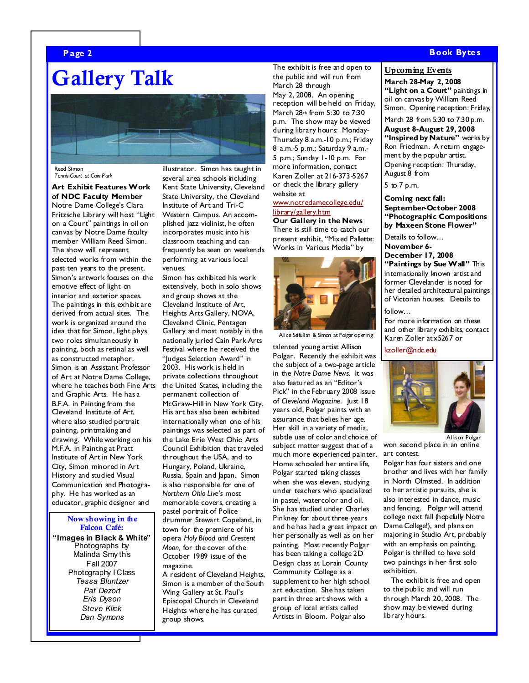#### Page 2 Book Bytes and the second second second second second second second second second second second second s

# Gallery Talk



Reed Simon Tennis Court at Cain Park

#### Art Exhibit Features Work of NDC Faculty Member Notre Dame College's Clara

Fritzsche Library will host "Light on a Court" paintings in oil on canvas by Notre Dame faculty member William Reed Simon. The show will represent selected works from within the past ten years to the present. Simon's artwork focuses on the emotive effect of light on interior and exterior spaces. The paintings in this exhibit are derived from actual sites. The work is organized around the idea that for Simon, light plays two roles simultaneously in painting, both as retinal as well as constructed metaphor. Simon is an Assistant Professor of Art at Notre Dame College, where he teaches both Fine Arts and Graphic Arts. He has a B.F.A. in Painting from the Cleveland Institute of Art, where also studied portrait painting, printmaking and drawing. While working on his M.F.A. in Painting at Pratt Institute of Art in New York City, Simon minored in Art History and studied Visual Communication and Photography. He has worked as an educator, graphic designer and

#### Now showing in the Falcon Café:

"Images in Black & White" Photographs by Malinda Smy th's Fall 2007 Photography I Class Tessa Bluntzer Pat Dezort Eris Dyson Steve Klick Dan Symons

illustrator. Simon has taught in several area schools including Kent State University, Cleveland State University, the Cleveland Institute of Art and Tri-C Western Campus. An accomplished jazz violinist, he often incorporates music into his classroom teaching and can frequently be seen on weekends performing at various local venues.

Simon has exhibited his work extensively, both in solo shows and group shows at the Cleveland Institute of Art, Heights Arts Gallery, NOVA, Cleveland Clinic, Pentagon Gallery and most notably in the nationally juried Cain Park Arts Festival where he received the "Judges Selection Award" in 2003. His work is held in private collections throughout the United States, including the permanent collection of McGraw-Hill in New York City. His art has also been exhibited internationally when one of his paintings was selected as part of the Lake Erie West Ohio Arts Council Exhibition that traveled throughout the USA, and to Hungary, Poland, Ukraine, Russia, Spain and Japan. Simon is also responsible for one of Northern Ohio Live's most memorable covers, creating a pastel portrait of Police drummer Stewart Copeland, in town for the premiere of his opera Holy Blood and Crescent Moon, for the cover of the October 1989 issue of the magazine.

A resident of Cleveland Heights, Simon is a member of the South Wing Gallery at St. Paul's Episcopal Church in Cleveland Heights where he has curated group shows.

The exhibit is free and open to the public and will run from March 28 through May 2, 2008. An opening reception will be held on Friday, March 28th from 5:30 to 7:30 p.m. The show may be viewed during library hours: Monday-Thursday 8 a.m.-10 p.m.; Friday 8 a.m.-5 p.m.; Saturday 9 a.m.- 5 p.m.; Sunday 1-10 p.m. For more information, contact Karen Zoller at 216-373-5267 or check the library gallery website at

#### www.notredamecollege.edu/ library/gallery.htm

Our Gallery in the News There is still time to catch our present exhibit, "Mixed Pallette: Works in Various Media" by



Alice Seifullah & Simon at Polgar opening

talented young artist Allison Polgar. Recently the exhibit was the subject of a two-page article in the Notre Dame News. It was also featured as an "Editor's Pick" in the February 2008 issue of Cleveland Magazine. Just 18 years old, Polgar paints with an assurance that belies her age. Her skill in a variety of media, subtle use of color and choice of subject matter suggest that of a much more experienced painter. Home schooled her entire life, Polgar started taking classes when she was eleven, studying under teachers who specialized in pastel, watercolor and oil. She has studied under Charles Pinkney for about three years and he has had a great impact on her personally as well as on her painting. Most recently Polgar has been taking a college 2D Design class at Lorain County Community College as a supplement to her high school art education. She has taken part in three art shows with a group of local artists called Artists in Bloom. Polgar also

#### Upcoming Events

March 28-May 2, 2008 "Light on a Court" paintings in oil on canvas by William Reed Simon. Opening reception: Friday,

March 28 from 5:30 to 7:30 p.m.

August 8-August 29, 2008 "Inspired by Nature" works by Ron Friedman. A return engagement by the popular artist. Opening reception: Thursday, August 8 from

5 to 7 p.m.

Coming next fall: September-October 2008 "Photographic Compositions by Maxeen Stone Flower"

Details to follow… November 6- December 17, 2008 "Paintings by Sue Wall" This internationally known artist and former Clevelander is noted for her detailed architectural paintings of Victorian houses. Details to

follow… For more information on these and other library exhibits, contact Karen Zoller at x5267 or

kzoller@ndc.edu



won second place in an online art contest. Allison Polgar

Polgar has four sisters and one brother and lives with her family in North Olmsted. In addition to her artistic pursuits, she is also interested in dance, music and fencing. Polgar will attend college next fall (hopefully Notre Dame College!), and plans on majoring in Studio Art, probably with an emphasis on painting. Polgar is thrilled to have sold two paintings in her first solo exhibition.

The exhibit is free and open to the public and will run through March 20, 2008. The show may be viewed during library hours.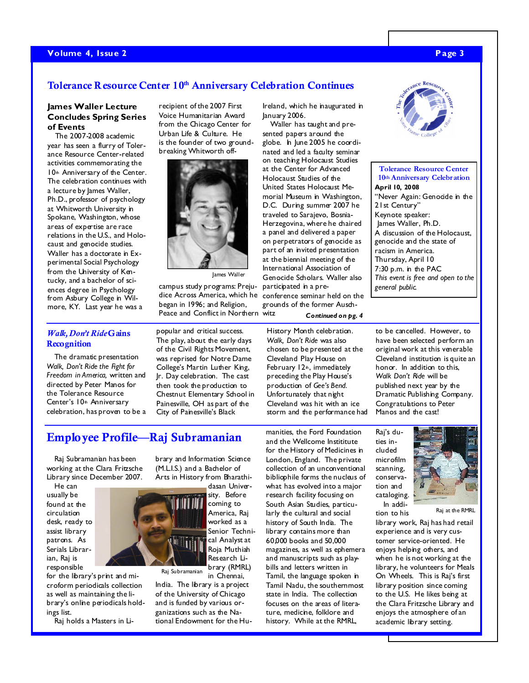### Volume 4, Issue 2 Page 3

## Tolerance Resource Center 10<sup>th</sup> Anniversary Celebration Continues

#### James Waller Lecture Concludes Spring Series of Events

The 2007-2008 academic year has seen a flurry of Tolerance Resource Center-related activities commemorating the 10<sup>th</sup> Anniversary of the Center. The celebration continues with a lecture by James Waller, Ph.D., professor of psychology at Whitworth University in Spokane, Washington, whose areas of expertise are race relations in the U.S., and Holocaust and genocide studies. Waller has a doctorate in Experimental Social Psychology from the University of Kentucky, and a bachelor of sciences degree in Psychology from Asbury College in Wilmore, KY. Last year he was a

recipient of the 2007 First Voice Humanitarian Award from the Chicago Center for Urban Life & Culture. He is the founder of two groundbreaking Whitworth off-



James Waller

campus study programs: Prejudice Across America, which he began in 1996; and Religion, Peace and Conflict in Northern witz

Ireland, which he inaugurated in January 2006.

Waller has taught and presented papers around the globe. In June 2005 he coordinated and led a faculty seminar on teaching Holocaust Studies at the Center for Advanced Holocaust Studies of the United States Holocaust Memorial Museum in Washington, D.C. During summer 2007 he traveled to Sarajevo, Bosnia-Herzegovina, where he chaired a panel and delivered a paper on perpetrators of genocide as part of an invited presentation at the biennial meeting of the International Association of Genocide Scholars. Waller also participated in a preconference seminar held on the grounds of the former Ausch-

Tolerance Resource Center 10th Anniversary Celebration April 10, 2008 "Never Again: Genocide in the 21st Century" Keynote speaker: James Waller, Ph.D. A discussion of the Holocaust, genocide and the state of racism in America. Thursday, April 10 7:30 p.m. in the PAC This event is free and open to the general public.

#### Walk, Don't Ride Gains **Recognition**

The dramatic presentation Walk, Don't Ride the Fight for Freedom in America, written and directed by Peter Manos for the Tolerance Resource Center's 10<sup>th</sup> Anniversary celebration, has proven to be a

popular and critical success. The play, about the early days of the Civil Rights Movement, was reprised for Notre Dame College's Martin Luther King, Jr. Day celebration. The cast then took the production to Chestnut Elementary School in Painesville, OH as part of the City of Painesville's Black

Continued on pg. 4

History Month celebration. Walk, Don't Ride was also chosen to be presented at the Cleveland Play House on February  $12<sub>th</sub>$ , immediately preceding the Play House's production of Gee's Bend. Unfortunately that night Cleveland was hit with an ice storm and the performance had to be cancelled. However, to have been selected perform an original work at this venerable Cleveland institution is quite an honor. In addition to this Walk Don't Ride will be published next year by the Dramatic Publishing Company. Congratulations to Peter Manos and the cast!

# Employee Profile—Raj Subramanian

Raj Subramanian has been working at the Clara Fritzsche Library since December 2007.

He can usually be found at the circulation desk, ready to assist library patrons. As Serials Librarian, Raj is responsible

for the library's print and microform periodicals collection as well as maintaining the library's online periodicals holdings list.

Raj holds a Masters in Li-

brary and Information Science (M.L.I.S.) and a Bachelor of Arts in History from Bharathidasan Univer-

sity. Before coming to America, Raj worked as a Senior Technical Analyst at Roja Muthiah Research Library (RMRL) Raj Subramanian

in Chennai, India. The library is a project of the University of Chicago and is funded by various organizations such as the National Endowment for the Hu-

manities, the Ford Foundation and the Wellcome Instititute for the History of Medicines in London, England. The private collection of an unconventional bibliophile forms the nucleus of what has evolved into a major research facility focusing on South Asian Studies, particularly the cultural and social history of South India. The library contains more than 60,000 books and 50,000 magazines, as well as ephemera and manuscripts such as playbills and letters written in Tamil, the language spoken in Tamil Nadu, the southernmost state in India. The collection focuses on the areas of literature, medicine, folklore and history. While at the RMRL,

Raj's duties included microfilm scanning, conservation and cataloging. In addi-

tion to his



Raj at the RMRL

library work, Raj has had retail experience and is very customer service-oriented. He enjoys helping others, and when he is not working at the library, he volunteers for Meals On Wheels. This is Raj's first library position since coming to the U.S. He likes being at the Clara Fritzsche Library and enjoys the atmosphere of an academic library setting.